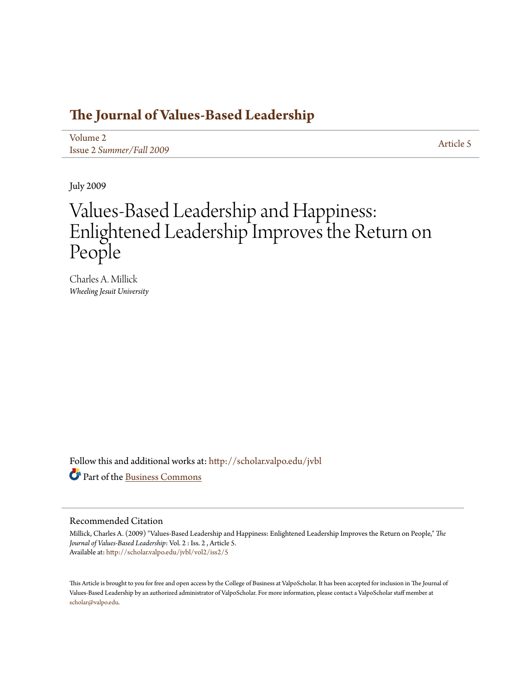## **[The Journal of Values-Based Leadership](http://scholar.valpo.edu/jvbl?utm_source=scholar.valpo.edu%2Fjvbl%2Fvol2%2Fiss2%2F5&utm_medium=PDF&utm_campaign=PDFCoverPages)**

[Volume 2](http://scholar.valpo.edu/jvbl/vol2?utm_source=scholar.valpo.edu%2Fjvbl%2Fvol2%2Fiss2%2F5&utm_medium=PDF&utm_campaign=PDFCoverPages) Issue 2 *[Summer/Fall 2009](http://scholar.valpo.edu/jvbl/vol2/iss2?utm_source=scholar.valpo.edu%2Fjvbl%2Fvol2%2Fiss2%2F5&utm_medium=PDF&utm_campaign=PDFCoverPages)* [Article 5](http://scholar.valpo.edu/jvbl/vol2/iss2/5?utm_source=scholar.valpo.edu%2Fjvbl%2Fvol2%2Fiss2%2F5&utm_medium=PDF&utm_campaign=PDFCoverPages)

July 2009

## Values-Based Leadership and Happiness: Enlightened Leadership Improves the Return on People

Charles A. Millick *Wheeling Jesuit University*

Follow this and additional works at: [http://scholar.valpo.edu/jvbl](http://scholar.valpo.edu/jvbl?utm_source=scholar.valpo.edu%2Fjvbl%2Fvol2%2Fiss2%2F5&utm_medium=PDF&utm_campaign=PDFCoverPages) Part of the [Business Commons](http://network.bepress.com/hgg/discipline/622?utm_source=scholar.valpo.edu%2Fjvbl%2Fvol2%2Fiss2%2F5&utm_medium=PDF&utm_campaign=PDFCoverPages)

#### Recommended Citation

Millick, Charles A. (2009) "Values-Based Leadership and Happiness: Enlightened Leadership Improves the Return on People," *The Journal of Values-Based Leadership*: Vol. 2 : Iss. 2 , Article 5. Available at: [http://scholar.valpo.edu/jvbl/vol2/iss2/5](http://scholar.valpo.edu/jvbl/vol2/iss2/5?utm_source=scholar.valpo.edu%2Fjvbl%2Fvol2%2Fiss2%2F5&utm_medium=PDF&utm_campaign=PDFCoverPages)

This Article is brought to you for free and open access by the College of Business at ValpoScholar. It has been accepted for inclusion in The Journal of Values-Based Leadership by an authorized administrator of ValpoScholar. For more information, please contact a ValpoScholar staff member at [scholar@valpo.edu.](mailto:scholar@valpo.edu)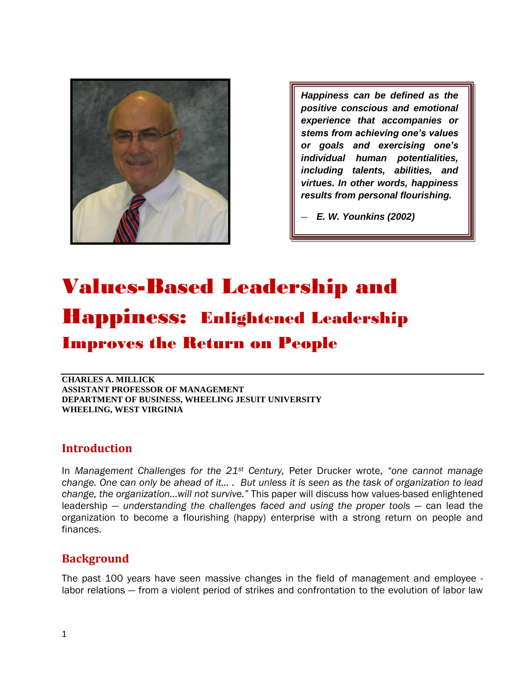

*Happiness can be defined as the positive conscious and emotional experience that accompanies or stems from achieving one's values or goals and exercising one's individual human potentialities, including talents, abilities, and virtues. In other words, happiness results from personal flourishing.* 

— *E. W. Younkins (2002)*

— *— E.W. Younkins (2002)*

# Values-Based Leadership and Happiness: Enlightened Leadership Improves the Return on People

**CHARLES A. MILLICK ASSISTANT PROFESSOR OF MANAGEMENT DEPARTMENT OF BUSINESS, WHEELING JESUIT UNIVERSITY WHEELING, WEST VIRGINIA** 

## **Introduction**

In *Management Challenges for the 21<sup>st</sup> Century, Peter Drucker wrote, "one cannot manage change. One can only be ahead of it… . But unless it is seen as the task of organization to lead change, the organization…will not survive.‖* This paper will discuss how values-based enlightened leadership — *understanding the challenges faced and using the proper tools* — can lead the organization to become a flourishing (happy) enterprise with a strong return on people and finances.

## **Background**

The past 100 years have seen massive changes in the field of management and employee labor relations — from a violent period of strikes and confrontation to the evolution of labor law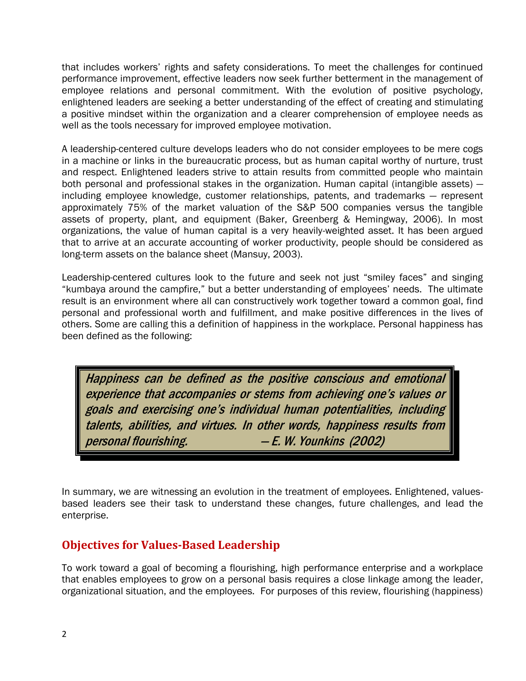that includes workers' rights and safety considerations. To meet the challenges for continued performance improvement, effective leaders now seek further betterment in the management of employee relations and personal commitment. With the evolution of positive psychology, enlightened leaders are seeking a better understanding of the effect of creating and stimulating a positive mindset within the organization and a clearer comprehension of employee needs as well as the tools necessary for improved employee motivation.

A leadership-centered culture develops leaders who do not consider employees to be mere cogs in a machine or links in the bureaucratic process, but as human capital worthy of nurture, trust and respect. Enlightened leaders strive to attain results from committed people who maintain both personal and professional stakes in the organization. Human capital (intangible assets) including employee knowledge, customer relationships, patents, and trademarks — represent approximately 75% of the market valuation of the S&P 500 companies versus the tangible assets of property, plant, and equipment (Baker, Greenberg & Hemingway, 2006). In most organizations, the value of human capital is a very heavily-weighted asset. It has been argued that to arrive at an accurate accounting of worker productivity, people should be considered as long-term assets on the balance sheet (Mansuy, 2003).

Leadership-centered cultures look to the future and seek not just "smiley faces" and singing "kumbaya around the campfire," but a better understanding of employees' needs. The ultimate result is an environment where all can constructively work together toward a common goal, find personal and professional worth and fulfillment, and make positive differences in the lives of others. Some are calling this a definition of happiness in the workplace. Personal happiness has been defined as the following:

Happiness can be defined as the positive conscious and emotional experience that accompanies or stems from achieving one's values or goals and exercising one's individual human potentialities, including talents, abilities, and virtues. In other words, happiness results from personal flourishing. — E. W. Younkins (2002)

In summary, we are witnessing an evolution in the treatment of employees. Enlightened, valuesbased leaders see their task to understand these changes, future challenges, and lead the enterprise.

## **Objectives for Values-Based Leadership**

To work toward a goal of becoming a flourishing, high performance enterprise and a workplace that enables employees to grow on a personal basis requires a close linkage among the leader, organizational situation, and the employees. For purposes of this review, flourishing (happiness)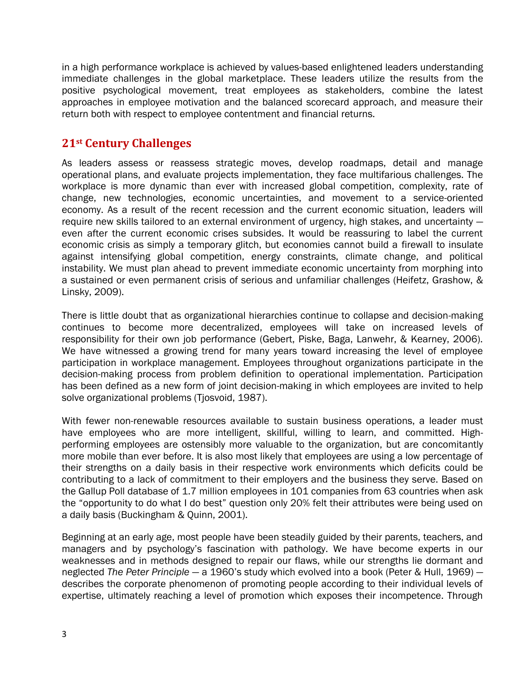in a high performance workplace is achieved by values-based enlightened leaders understanding immediate challenges in the global marketplace. These leaders utilize the results from the positive psychological movement, treat employees as stakeholders, combine the latest approaches in employee motivation and the balanced scorecard approach, and measure their return both with respect to employee contentment and financial returns.

## **21st Century Challenges**

As leaders assess or reassess strategic moves, develop roadmaps, detail and manage operational plans, and evaluate projects implementation, they face multifarious challenges. The workplace is more dynamic than ever with increased global competition, complexity, rate of change, new technologies, economic uncertainties, and movement to a service-oriented economy. As a result of the recent recession and the current economic situation, leaders will require new skills tailored to an external environment of urgency, high stakes, and uncertainty even after the current economic crises subsides. It would be reassuring to label the current economic crisis as simply a temporary glitch, but economies cannot build a firewall to insulate against intensifying global competition, energy constraints, climate change, and political instability. We must plan ahead to prevent immediate economic uncertainty from morphing into a sustained or even permanent crisis of serious and unfamiliar challenges (Heifetz, Grashow, & Linsky, 2009).

There is little doubt that as organizational hierarchies continue to collapse and decision-making continues to become more decentralized, employees will take on increased levels of responsibility for their own job performance (Gebert, Piske, Baga, Lanwehr, & Kearney, 2006). We have witnessed a growing trend for many years toward increasing the level of employee participation in workplace management. Employees throughout organizations participate in the decision-making process from problem definition to operational implementation. Participation has been defined as a new form of joint decision-making in which employees are invited to help solve organizational problems (Tjosvoid, 1987).

With fewer non-renewable resources available to sustain business operations, a leader must have employees who are more intelligent, skillful, willing to learn, and committed. Highperforming employees are ostensibly more valuable to the organization, but are concomitantly more mobile than ever before. It is also most likely that employees are using a low percentage of their strengths on a daily basis in their respective work environments which deficits could be contributing to a lack of commitment to their employers and the business they serve. Based on the Gallup Poll database of 1.7 million employees in 101 companies from 63 countries when ask the "opportunity to do what I do best" question only 20% felt their attributes were being used on a daily basis (Buckingham & Quinn, 2001).

Beginning at an early age, most people have been steadily guided by their parents, teachers, and managers and by psychology's fascination with pathology. We have become experts in our weaknesses and in methods designed to repair our flaws, while our strengths lie dormant and neglected *The Peter Principle* — a 1960's study which evolved into a book [\(Peter](http://en.wikipedia.org/wiki/Laurence_J._Peter) [& Hull,](http://en.wikipedia.org/wiki/Raymond_Hull) 1969) describes the corporate phenomenon of promoting people according to their individual levels of expertise, ultimately reaching a level of promotion which exposes their incompetence. Through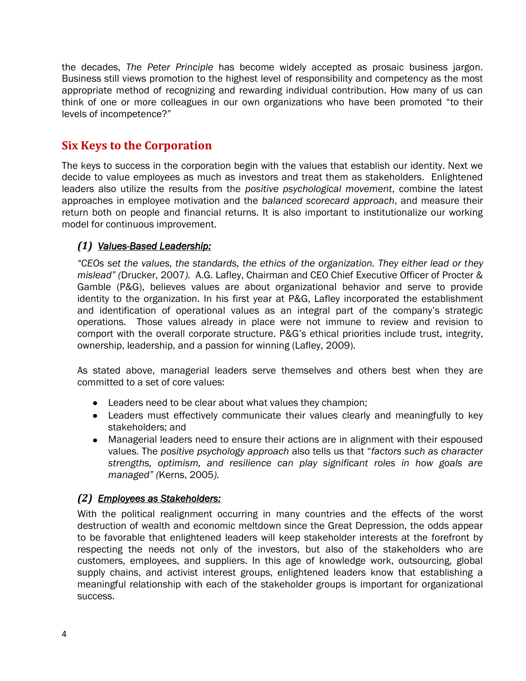the decades, *The Peter Principle* has become widely accepted as prosaic business jargon. Business still views promotion to the highest level of responsibility and competency as the most appropriate method of recognizing and rewarding individual contribution. How many of us can think of one or more colleagues in our own organizations who have been promoted "to their levels of incompetence?"

## **Six Keys to the Corporation**

The keys to success in the corporation begin with the values that establish our identity. Next we decide to value employees as much as investors and treat them as stakeholders. Enlightened leaders also utilize the results from the *positive psychological movement*, combine the latest approaches in employee motivation and the *balanced scorecard approach*, and measure their return both on people and financial returns. It is also important to institutionalize our working model for continuous improvement.

## *(1) Values-Based Leadership:*

*―CEOs set the values, the standards, the ethics of the organization. They either lead or they mislead‖ (*Drucker, 2007*).* A.G. Lafley, Chairman and CEO Chief Executive Officer of Procter & Gamble (P&G), believes values are about organizational behavior and serve to provide identity to the organization. In his first year at P&G, Lafley incorporated the establishment and identification of operational values as an integral part of the company's strategic operations. Those values already in place were not immune to review and revision to comport with the overall corporate structure. P&G's ethical priorities include trust, integrity, ownership, leadership, and a passion for winning (Lafley, 2009).

As stated above, managerial leaders serve themselves and others best when they are committed to a set of core values:

- Leaders need to be clear about what values they champion;
- Leaders must effectively communicate their values clearly and meaningfully to key stakeholders; and
- Managerial leaders need to ensure their actions are in alignment with their espoused values. The *positive psychology approach* also tells us that ―*factors such as character strengths, optimism, and resilience can play significant roles in how goals are managed‖ (*Kerns, 2005*).*

## *(2) Employees as Stakeholders:*

With the political realignment occurring in many countries and the effects of the worst destruction of wealth and economic meltdown since the Great Depression, the odds appear to be favorable that enlightened leaders will keep stakeholder interests at the forefront by respecting the needs not only of the investors, but also of the stakeholders who are customers, employees, and suppliers. In this age of knowledge work, outsourcing, global supply chains, and activist interest groups, enlightened leaders know that establishing a meaningful relationship with each of the stakeholder groups is important for organizational success.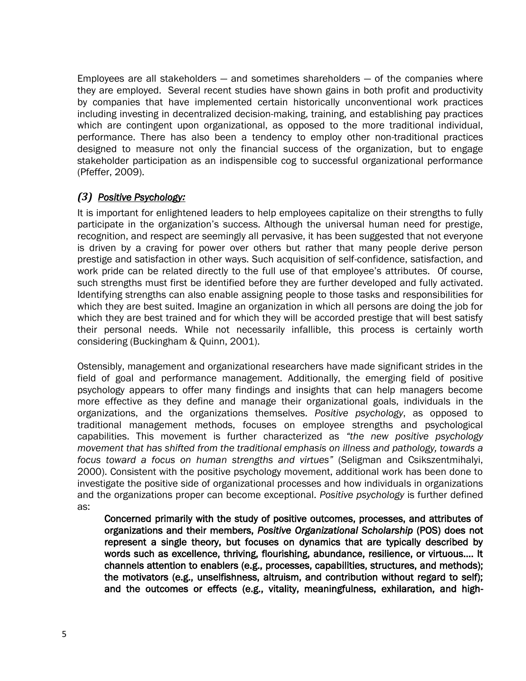Employees are all stakeholders — and sometimes shareholders — of the companies where they are employed. Several recent studies have shown gains in both profit and productivity by companies that have implemented certain historically unconventional work practices including investing in decentralized decision-making, training, and establishing pay practices which are contingent upon organizational, as opposed to the more traditional individual, performance. There has also been a tendency to employ other non-traditional practices designed to measure not only the financial success of the organization, but to engage stakeholder participation as an indispensible cog to successful organizational performance (Pfeffer, 2009).

## *(3) Positive Psychology:*

It is important for enlightened leaders to help employees capitalize on their strengths to fully participate in the organization's success. Although the universal human need for prestige, recognition, and respect are seemingly all pervasive, it has been suggested that not everyone is driven by a craving for power over others but rather that many people derive person prestige and satisfaction in other ways. Such acquisition of self-confidence, satisfaction, and work pride can be related directly to the full use of that employee's attributes. Of course, such strengths must first be identified before they are further developed and fully activated. Identifying strengths can also enable assigning people to those tasks and responsibilities for which they are best suited. Imagine an organization in which all persons are doing the job for which they are best trained and for which they will be accorded prestige that will best satisfy their personal needs. While not necessarily infallible, this process is certainly worth considering (Buckingham & Quinn, 2001).

Ostensibly, management and organizational researchers have made significant strides in the field of goal and performance management. Additionally, the emerging field of positive psychology appears to offer many findings and insights that can help managers become more effective as they define and manage their organizational goals, individuals in the organizations, and the organizations themselves. *Positive psychology*, as opposed to traditional management methods, focuses on employee strengths and psychological capabilities. This movement is further characterized as "the new positive psychology *movement that has shifted from the traditional emphasis on illness and pathology, towards a focus toward a focus on human strengths and virtues‖* (Seligman and Csikszentmihalyi, 2000). Consistent with the positive psychology movement, additional work has been done to investigate the positive side of organizational processes and how individuals in organizations and the organizations proper can become exceptional. *Positive psychology* is further defined as:

Concerned primarily with the study of positive outcomes, processes, and attributes of organizations and their members, *Positive Organizational Scholarship* (POS) does not represent a single theory, but focuses on dynamics that are typically described by words such as excellence, thriving, flourishing, abundance, resilience, or virtuous…. It channels attention to enablers (e.g., processes, capabilities, structures, and methods); the motivators (e.g., unselfishness, altruism, and contribution without regard to self); and the outcomes or effects (e.g., vitality, meaningfulness, exhilaration, and high-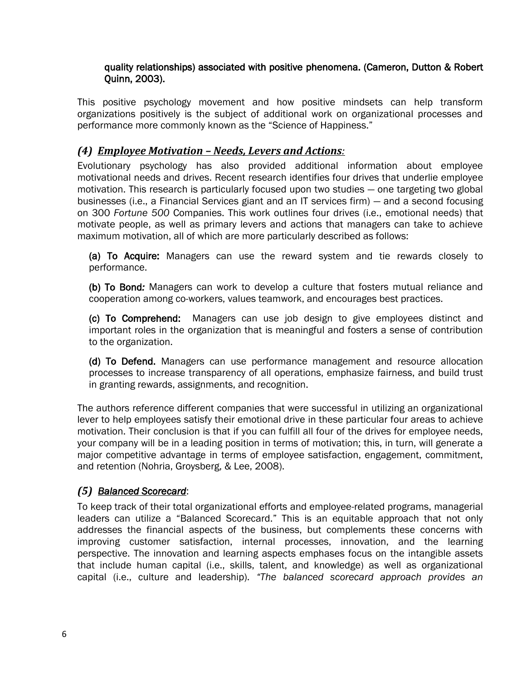#### quality relationships) associated with positive phenomena. (Cameron, Dutton & Robert Quinn, 2003).

This positive psychology movement and how positive mindsets can help transform organizations positively is the subject of additional work on organizational processes and performance more commonly known as the "Science of Happiness."

## *(4) Employee Motivation – Needs, Levers and Actions:*

Evolutionary psychology has also provided additional information about employee motivational needs and drives. Recent research identifies four drives that underlie employee motivation. This research is particularly focused upon two studies — one targeting two global businesses (i.e., a Financial Services giant and an IT services firm) — and a second focusing on 300 *Fortune 500* Companies. This work outlines four drives (i.e., emotional needs) that motivate people, as well as primary levers and actions that managers can take to achieve maximum motivation, all of which are more particularly described as follows:

(a) To Acquire: Managers can use the reward system and tie rewards closely to performance.

(b)To Bond*:* Managers can work to develop a culture that fosters mutual reliance and cooperation among co-workers, values teamwork, and encourages best practices.

(c) To Comprehend: Managers can use job design to give employees distinct and important roles in the organization that is meaningful and fosters a sense of contribution to the organization.

(d) To Defend. Managers can use performance management and resource allocation processes to increase transparency of all operations, emphasize fairness, and build trust in granting rewards, assignments, and recognition.

The authors reference different companies that were successful in utilizing an organizational lever to help employees satisfy their emotional drive in these particular four areas to achieve motivation. Their conclusion is that if you can fulfill all four of the drives for employee needs, your company will be in a leading position in terms of motivation; this, in turn, will generate a major competitive advantage in terms of employee satisfaction, engagement, commitment, and retention (Nohria, Groysberg, & Lee, 2008).

## *(5) Balanced Scorecard*:

To keep track of their total organizational efforts and employee-related programs, managerial leaders can utilize a "Balanced Scorecard." This is an equitable approach that not only addresses the financial aspects of the business, but complements these concerns with improving customer satisfaction, internal processes, innovation, and the learning perspective. The innovation and learning aspects emphases focus on the intangible assets that include human capital (i.e., skills, talent, and knowledge) as well as organizational capital (i.e., culture and leadership). "The balanced scorecard approach provides an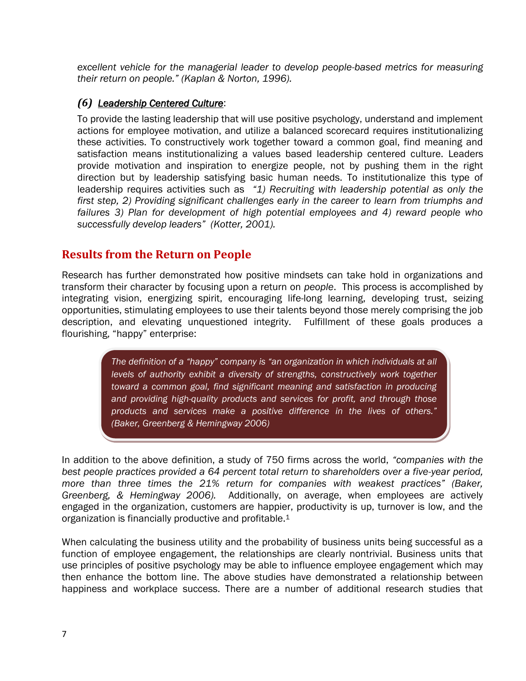*excellent vehicle for the managerial leader to develop people-based metrics for measuring their return on people.‖ (Kaplan & Norton, 1996).*

## *(6) Leadership Centered Culture*:

To provide the lasting leadership that will use positive psychology, understand and implement actions for employee motivation, and utilize a balanced scorecard requires institutionalizing these activities. To constructively work together toward a common goal, find meaning and satisfaction means institutionalizing a values based leadership centered culture. Leaders provide motivation and inspiration to energize people, not by pushing them in the right direction but by leadership satisfying basic human needs. To institutionalize this type of leadership requires activities such as *"1)* Recruiting with leadership potential as only the *first step, 2) Providing significant challenges early in the career to learn from triumphs and*  failures 3) Plan for development of high potential employees and 4) reward people who *successfully develop leaders‖ (Kotter, 2001).*

## **Results from the Return on People**

Research has further demonstrated how positive mindsets can take hold in organizations and transform their character by focusing upon a return on *people*. This process is accomplished by integrating vision, energizing spirit, encouraging life-long learning, developing trust, seizing opportunities, stimulating employees to use their talents beyond those merely comprising the job description, and elevating unquestioned integrity. Fulfillment of these goals produces a flourishing, "happy" enterprise:

> *The definition of a ―happy‖ company is ―an organization in which individuals at all levels of authority exhibit a diversity of strengths, constructively work together toward a common goal, find significant meaning and satisfaction in producing and providing high-quality products and services for profit, and through those products and services make a positive difference in the lives of others.‖ (Baker, Greenberg & Hemingway 2006)*

In addition to the above definition, a study of 750 firms across the world, *"companies with the best people practices provided a 64 percent total return to shareholders over a five-year period,*  more than three times the 21% return for companies with weakest practices" (Baker, *Greenberg, & Hemingway 2006).* Additionally, on average, when employees are actively engaged in the organization, customers are happier, productivity is up, turnover is low, and the organization is financially productive and profitable.<sup>1</sup>

When calculating the business utility and the probability of business units being successful as a function of employee engagement, the relationships are clearly nontrivial. Business units that use principles of positive psychology may be able to influence employee engagement which may then enhance the bottom line. The above studies have demonstrated a relationship between happiness and workplace success. There are a number of additional research studies that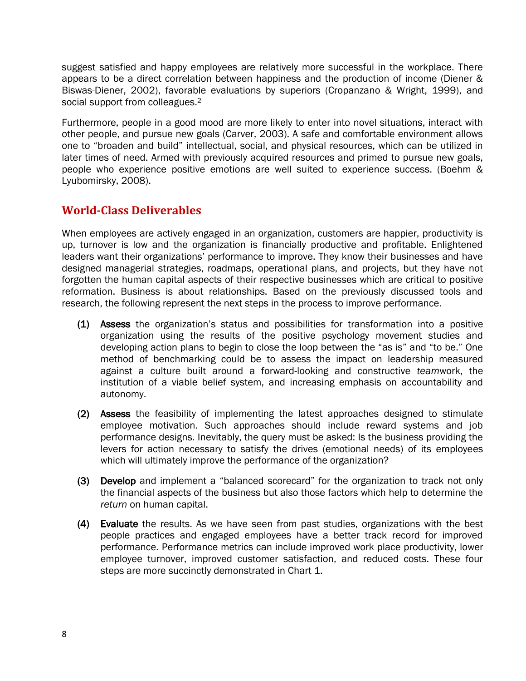suggest satisfied and happy employees are relatively more successful in the workplace. There appears to be a direct correlation between happiness and the production of income (Diener & Biswas-Diener, 2002), favorable evaluations by superiors (Cropanzano & Wright, 1999), and social support from colleagues.<sup>2</sup>

Furthermore, people in a good mood are more likely to enter into novel situations, interact with other people, and pursue new goals (Carver, 2003). A safe and comfortable environment allows one to "broaden and build" intellectual, social, and physical resources, which can be utilized in later times of need. Armed with previously acquired resources and primed to pursue new goals, people who experience positive emotions are well suited to experience success. (Boehm & Lyubomirsky, 2008).

## **World-Class Deliverables**

When employees are actively engaged in an organization, customers are happier, productivity is up, turnover is low and the organization is financially productive and profitable. Enlightened leaders want their organizations' performance to improve. They know their businesses and have designed managerial strategies, roadmaps, operational plans, and projects, but they have not forgotten the human capital aspects of their respective businesses which are critical to positive reformation. Business is about relationships. Based on the previously discussed tools and research, the following represent the next steps in the process to improve performance.

- (1) Assess the organization's status and possibilities for transformation into a positive organization using the results of the positive psychology movement studies and developing action plans to begin to close the loop between the "as is" and "to be." One method of benchmarking could be to assess the impact on leadership measured against a culture built around a forward-looking and constructive *team*work, the institution of a viable belief system, and increasing emphasis on accountability and autonomy.
- (2) Assess the feasibility of implementing the latest approaches designed to stimulate employee motivation. Such approaches should include reward systems and job performance designs. Inevitably, the query must be asked: Is the business providing the levers for action necessary to satisfy the drives (emotional needs) of its employees which will ultimately improve the performance of the organization?
- (3) Develop and implement a "balanced scorecard" for the organization to track not only the financial aspects of the business but also those factors which help to determine the *return* on human capital.
- (4) Evaluate the results. As we have seen from past studies, organizations with the best people practices and engaged employees have a better track record for improved performance. Performance metrics can include improved work place productivity, lower employee turnover, improved customer satisfaction, and reduced costs. These four steps are more succinctly demonstrated in Chart 1.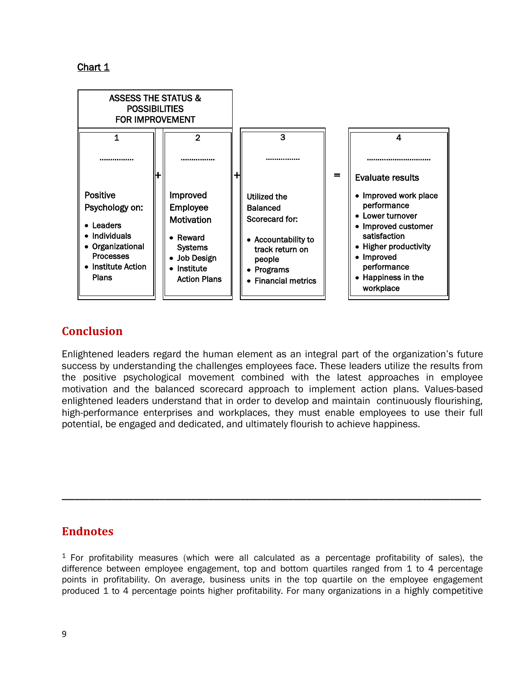

## **Conclusion**

Enlightened leaders regard the human element as an integral part of the organization's future success by understanding the challenges employees face. These leaders utilize the results from the positive psychological movement combined with the latest approaches in employee motivation and the balanced scorecard approach to implement action plans. Values-based enlightened leaders understand that in order to develop and maintain continuously flourishing, high-performance enterprises and workplaces, they must enable employees to use their full potential, be engaged and dedicated, and ultimately flourish to achieve happiness.

## **Endnotes**

 $1$  For profitability measures (which were all calculated as a percentage profitability of sales), the difference between employee engagement, top and bottom quartiles ranged from 1 to 4 percentage points in profitability. On average, business units in the top quartile on the employee engagement produced 1 to 4 percentage points higher profitability. For many organizations in a highly competitive

**\_\_\_\_\_\_\_\_\_\_\_\_\_\_\_\_\_\_\_\_\_\_\_\_\_\_\_\_\_\_\_\_\_\_\_\_\_\_\_\_\_\_\_\_\_\_\_\_\_\_\_\_\_\_\_\_\_\_\_\_\_\_\_\_\_\_\_\_\_\_\_\_\_\_\_\_\_\_\_\_\_\_\_\_\_\_\_\_\_\_\_\_\_\_**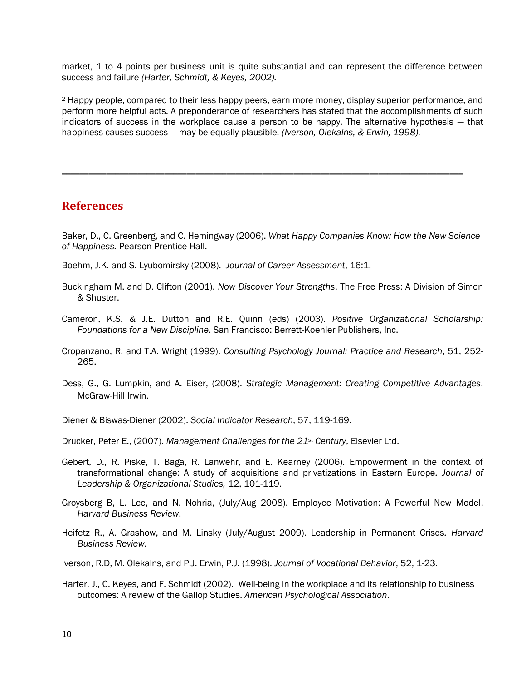market, 1 to 4 points per business unit is quite substantial and can represent the difference between success and failure *(Harter, Schmidt, & Keyes, 2002).*

<sup>2</sup> Happy people, compared to their less happy peers, earn more money, display superior performance, and perform more helpful acts. A preponderance of researchers has stated that the accomplishments of such indicators of success in the workplace cause a person to be happy. The alternative hypothesis — that happiness causes success — may be equally plausible*. (Iverson, Olekalns, & Erwin, 1998).* 

**\_\_\_\_\_\_\_\_\_\_\_\_\_\_\_\_\_\_\_\_\_\_\_\_\_\_\_\_\_\_\_\_\_\_\_\_\_\_\_\_\_\_\_\_\_\_\_\_\_\_\_\_\_\_\_\_\_\_\_\_\_\_\_\_\_\_\_\_\_\_\_\_\_\_\_\_\_\_\_\_\_\_\_\_\_\_\_\_\_\_** 

#### **References**

Baker, D., C. Greenberg, and C. Hemingway (2006). *What Happy Companies Know: How the New Science of Happiness.* Pearson Prentice Hall.

- Boehm, J.K. and S. Lyubomirsky (2008). *Journal of Career Assessment*, 16:1.
- Buckingham M. and D. Clifton (2001). *Now Discover Your Strengths*. The Free Press: A Division of Simon & Shuster.
- Cameron, K.S. & J.E. Dutton and R.E. Quinn (eds) (2003). *Positive Organizational Scholarship: Foundations for a New Discipline*. San Francisco: Berrett-Koehler Publishers, Inc.
- Cropanzano, R. and T.A. Wright (1999). *Consulting Psychology Journal: Practice and Research*, 51, 252- 265.
- Dess, G., G. Lumpkin, and A. Eiser, (2008). *Strategic Management: Creating Competitive Advantages*. McGraw-Hill Irwin.
- Diener & Biswas-Diener (2002). *Social Indicator Research*, 57, 119-169.
- Drucker, Peter E., (2007). *Management Challenges for the 21st Century*, Elsevier Ltd.
- Gebert, D., R. Piske, T. Baga, R. Lanwehr, and E. Kearney (2006). Empowerment in the context of transformational change: A study of acquisitions and privatizations in Eastern Europe*. Journal of Leadership & Organizational Studies,* 12, 101-119.
- Groysberg B, L. Lee, and N. Nohria, (July/Aug 2008). Employee Motivation: A Powerful New Model. *Harvard Business Review*.
- Heifetz R., A. Grashow, and M. Linsky (July/August 2009). Leadership in Permanent Crises*. Harvard Business Review*.
- Iverson, R.D, M. Olekalns, and P.J. Erwin, P.J. (1998). *Journal of Vocational Behavior*, 52, 1-23.
- Harter, J., C. Keyes, and F. Schmidt (2002). Well-being in the workplace and its relationship to business outcomes: A review of the Gallop Studies. *American Psychological Association*.